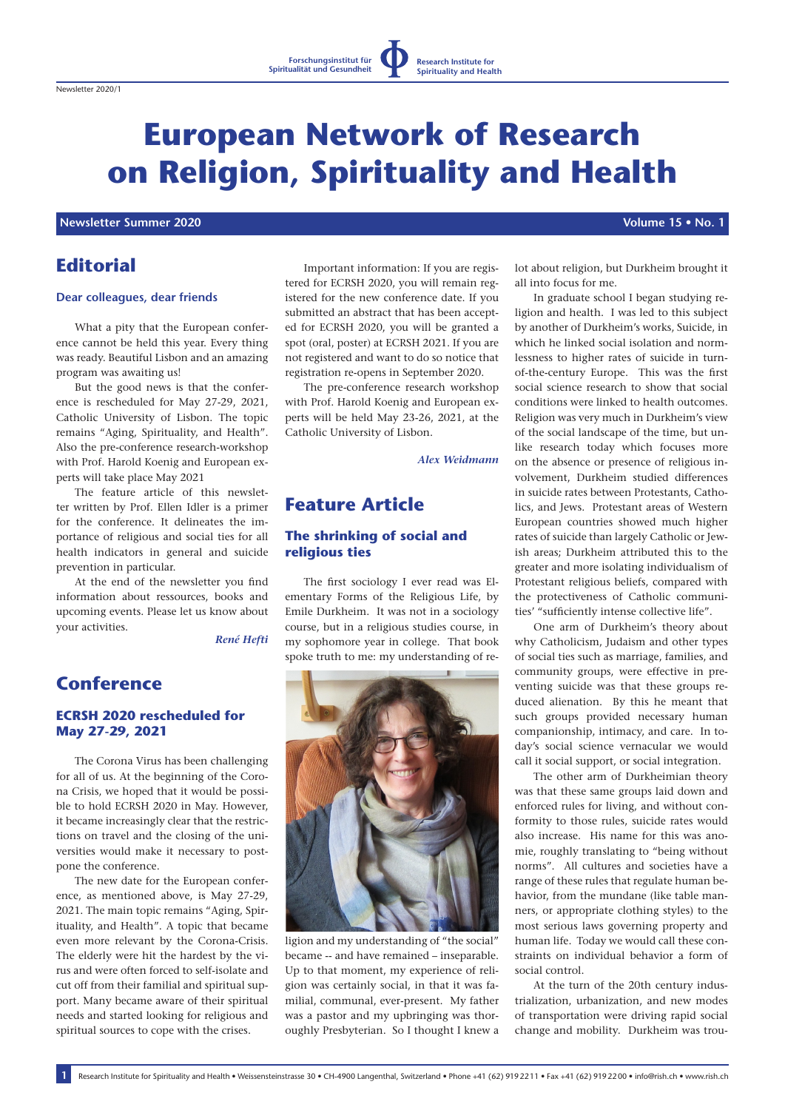**Forschungsinstitut für Spiritualität und Gesundheit**

**Research Institute for Spirituality and Health**

## **Newsletter Summer 2020 Volume 15 • No. 1**

# **Editorial**

### **Dear colleagues, dear friends**

What a pity that the European conference cannot be held this year. Every thing was ready. Beautiful Lisbon and an amazing program was awaiting us!

But the good news is that the conference is rescheduled for May 27-29, 2021, Catholic University of Lisbon. The topic remains "Aging, Spirituality, and Health". Also the pre-conference research-workshop with Prof. Harold Koenig and European experts will take place May 2021

The feature article of this newsletter written by Prof. Ellen Idler is a primer for the conference. It delineates the importance of religious and social ties for all health indicators in general and suicide prevention in particular.

At the end of the newsletter you find information about ressources, books and upcoming events. Please let us know about your activities.

*René Hefti*

# **Conference**

## **ECRSH 2020 rescheduled for May 27-29, 2021**

The Corona Virus has been challenging for all of us. At the beginning of the Corona Crisis, we hoped that it would be possible to hold ECRSH 2020 in May. However, it became increasingly clear that the restrictions on travel and the closing of the universities would make it necessary to postpone the conference.

The new date for the European conference, as mentioned above, is May 27-29, 2021. The main topic remains "Aging, Spirituality, and Health". A topic that became even more relevant by the Corona-Crisis. The elderly were hit the hardest by the virus and were often forced to self-isolate and cut off from their familial and spiritual support. Many became aware of their spiritual needs and started looking for religious and spiritual sources to cope with the crises.

Important information: If you are registered for ECRSH 2020, you will remain registered for the new conference date. If you submitted an abstract that has been accepted for ECRSH 2020, you will be granted a spot (oral, poster) at ECRSH 2021. If you are not registered and want to do so notice that registration re-opens in September 2020.

The pre-conference research workshop with Prof. Harold Koenig and European experts will be held May 23-26, 2021, at the Catholic University of Lisbon.

*Alex Weidmann*

# **Feature Article**

### **The shrinking of social and religious ties**

The first sociology I ever read was Elementary Forms of the Religious Life, by Emile Durkheim. It was not in a sociology course, but in a religious studies course, in my sophomore year in college. That book spoke truth to me: my understanding of re-



ligion and my understanding of "the social" became -- and have remained – inseparable. Up to that moment, my experience of religion was certainly social, in that it was familial, communal, ever-present. My father was a pastor and my upbringing was thoroughly Presbyterian. So I thought I knew a lot about religion, but Durkheim brought it all into focus for me.

In graduate school I began studying religion and health. I was led to this subject by another of Durkheim's works, Suicide, in which he linked social isolation and normlessness to higher rates of suicide in turnof-the-century Europe. This was the first social science research to show that social conditions were linked to health outcomes. Religion was very much in Durkheim's view of the social landscape of the time, but unlike research today which focuses more on the absence or presence of religious involvement, Durkheim studied differences in suicide rates between Protestants, Catholics, and Jews. Protestant areas of Western European countries showed much higher rates of suicide than largely Catholic or Jewish areas; Durkheim attributed this to the greater and more isolating individualism of Protestant religious beliefs, compared with the protectiveness of Catholic communities' "sufficiently intense collective life".

One arm of Durkheim's theory about why Catholicism, Judaism and other types of social ties such as marriage, families, and community groups, were effective in preventing suicide was that these groups reduced alienation. By this he meant that such groups provided necessary human companionship, intimacy, and care. In today's social science vernacular we would call it social support, or social integration.

The other arm of Durkheimian theory was that these same groups laid down and enforced rules for living, and without conformity to those rules, suicide rates would also increase. His name for this was anomie, roughly translating to "being without norms". All cultures and societies have a range of these rules that regulate human behavior, from the mundane (like table manners, or appropriate clothing styles) to the most serious laws governing property and human life. Today we would call these constraints on individual behavior a form of social control.

At the turn of the 20th century industrialization, urbanization, and new modes of transportation were driving rapid social change and mobility. Durkheim was trou